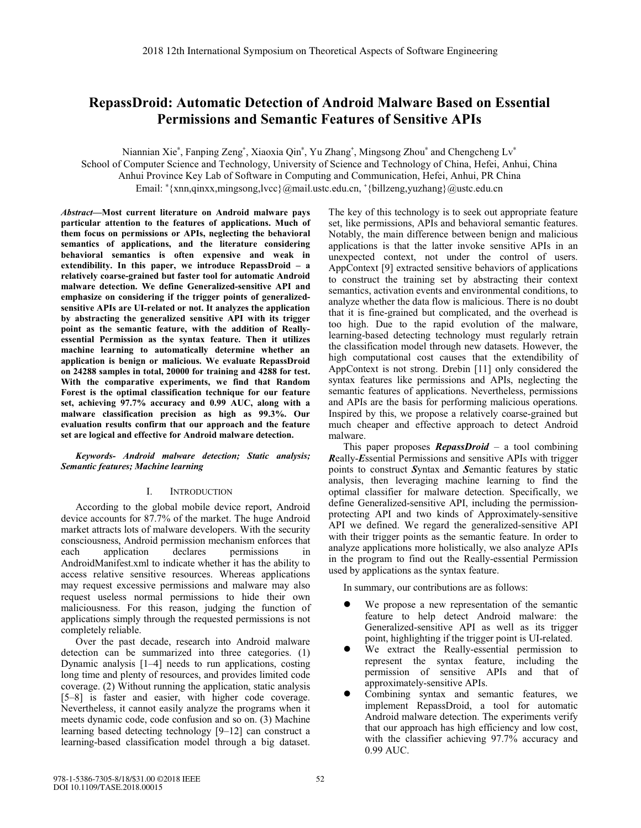# **RepassDroid: Automatic Detection of Android Malware Based on Essential Permissions and Semantic Features of Sensitive APIs**

Niannian Xie\*, Fanping Zeng<sup>+</sup>, Xiaoxia Qin\*, Yu Zhang<sup>+</sup>, Mingsong Zhou\* and Chengcheng Lv\*

School of Computer Science and Technology, University of Science and Technology of China, Hefei, Anhui, China

Anhui Province Key Lab of Software in Computing and Communication, Hefei, Anhui, PR China

Email: \*{xnn,qinxx,mingsong,lvcc}@mail.ustc.edu.cn, +{billzeng,yuzhang}@ustc.edu.cn

*Abstract***—Most current literature on Android malware pays particular attention to the features of applications. Much of them focus on permissions or APIs, neglecting the behavioral semantics of applications, and the literature considering behavioral semantics is often expensive and weak in extendibility. In this paper, we introduce RepassDroid – a relatively coarse-grained but faster tool for automatic Android malware detection. We define Generalized-sensitive API and emphasize on considering if the trigger points of generalizedsensitive APIs are UI-related or not. It analyzes the application by abstracting the generalized sensitive API with its trigger point as the semantic feature, with the addition of Reallyessential Permission as the syntax feature. Then it utilizes machine learning to automatically determine whether an application is benign or malicious. We evaluate RepassDroid on 24288 samples in total, 20000 for training and 4288 for test. With the comparative experiments, we find that Random Forest is the optimal classification technique for our feature set, achieving 97.7% accuracy and 0.99 AUC, along with a malware classification precision as high as 99.3%. Our evaluation results confirm that our approach and the feature set are logical and effective for Android malware detection.** 

*Keywords- Android malware detection; Static analysis; Semantic features; Machine learning* 

# I. INTRODUCTION

According to the global mobile device report, Android device accounts for 87.7% of the market. The huge Android market attracts lots of malware developers. With the security consciousness, Android permission mechanism enforces that each application declares permissions in AndroidManifest.xml to indicate whether it has the ability to access relative sensitive resources. Whereas applications may request excessive permissions and malware may also request useless normal permissions to hide their own maliciousness. For this reason, judging the function of applications simply through the requested permissions is not completely reliable.

Over the past decade, research into Android malware detection can be summarized into three categories. (1) Dynamic analysis [1–4] needs to run applications, costing long time and plenty of resources, and provides limited code coverage. (2) Without running the application, static analysis [5–8] is faster and easier, with higher code coverage. Nevertheless, it cannot easily analyze the programs when it meets dynamic code, code confusion and so on. (3) Machine learning based detecting technology [9–12] can construct a learning-based classification model through a big dataset.

The key of this technology is to seek out appropriate feature set, like permissions, APIs and behavioral semantic features. Notably, the main difference between benign and malicious applications is that the latter invoke sensitive APIs in an unexpected context, not under the control of users. AppContext [9] extracted sensitive behaviors of applications to construct the training set by abstracting their context semantics, activation events and environmental conditions, to analyze whether the data flow is malicious. There is no doubt that it is fine-grained but complicated, and the overhead is too high. Due to the rapid evolution of the malware, learning-based detecting technology must regularly retrain the classification model through new datasets. However, the high computational cost causes that the extendibility of AppContext is not strong. Drebin [11] only considered the syntax features like permissions and APIs, neglecting the semantic features of applications. Nevertheless, permissions and APIs are the basis for performing malicious operations. Inspired by this, we propose a relatively coarse-grained but much cheaper and effective approach to detect Android malware.

This paper proposes *RepassDroid* – a tool combining *R*eally-*E*ssential Permissions and sensitive APIs with trigger points to construct *S*yntax and *S*emantic features by static analysis, then leveraging machine learning to find the optimal classifier for malware detection. Specifically, we define Generalized-sensitive API, including the permissionprotecting API and two kinds of Approximately-sensitive API we defined. We regard the generalized-sensitive API with their trigger points as the semantic feature. In order to analyze applications more holistically, we also analyze APIs in the program to find out the Really-essential Permission used by applications as the syntax feature.

In summary, our contributions are as follows:

- $\bullet$  We propose a new representation of the semantic feature to help detect Android malware: the Generalized-sensitive API as well as its trigger point, highlighting if the trigger point is UI-related.
- $\bullet$  We extract the Really-essential permission to represent the syntax feature, including the permission of sensitive APIs and that of approximately-sensitive APIs.
- $\bullet$  Combining syntax and semantic features, we implement RepassDroid, a tool for automatic Android malware detection. The experiments verify that our approach has high efficiency and low cost, with the classifier achieving 97.7% accuracy and 0.99 AUC.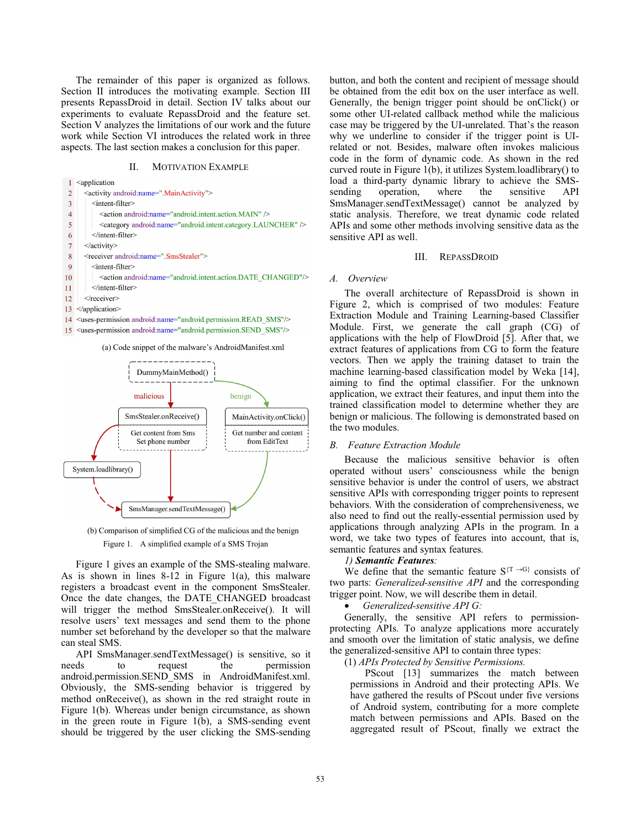The remainder of this paper is organized as follows. Section II introduces the motivating example. Section III presents RepassDroid in detail. Section IV talks about our experiments to evaluate RepassDroid and the feature set. Section V analyzes the limitations of our work and the future work while Section VI introduces the related work in three aspects. The last section makes a conclusion for this paper.

## II. MOTIVATION EXAMPLE

 $1$  <application  $\overline{2}$ <activity android:name=".MainActivity">  $\overline{\mathbf{3}}$ <intent-filter> <action android:name="android.intent.action.MAIN" />  $\overline{4}$  $\overline{5}$ <category android:name="android.intent.category.LAUNCHER" /> 6  $\le$ /intent-filter>  $\overline{7}$  $\le$ /activity>  $\,$  8  $\,$ <receiver android:name=".SmsStealer">  $\overline{Q}$ <intent-filter> 10 <action android:name="android.intent.action.DATE\_CHANGED"/> </intent-filter>  $11$  $\langle$ receiver> 12 13 </application> 14 <uses-permission android:name="android.permission.READ SMS"/> 15 <uses-permission android:name="android.permission.SEND\_SMS"/>

#### (a) Code snippet of the malware's AndroidManifest.xml



(b) Comparison of simplified CG of the malicious and the benign Figure 1. A simplified example of a SMS Trojan

Figure 1 gives an example of the SMS-stealing malware. As is shown in lines 8-12 in Figure 1(a), this malware registers a broadcast event in the component SmsStealer. Once the date changes, the DATE\_CHANGED broadcast will trigger the method SmsStealer.onReceive(). It will resolve users' text messages and send them to the phone number set beforehand by the developer so that the malware can steal SMS.

API SmsManager.sendTextMessage() is sensitive, so it needs to request the permission android.permission.SEND\_SMS in AndroidManifest.xml. Obviously, the SMS-sending behavior is triggered by method onReceive(), as shown in the red straight route in Figure 1(b). Whereas under benign circumstance, as shown in the green route in Figure 1(b), a SMS-sending event should be triggered by the user clicking the SMS-sending button, and both the content and recipient of message should be obtained from the edit box on the user interface as well. Generally, the benign trigger point should be onClick() or some other UI-related callback method while the malicious case may be triggered by the UI-unrelated. That's the reason why we underline to consider if the trigger point is UIrelated or not. Besides, malware often invokes malicious code in the form of dynamic code. As shown in the red curved route in Figure 1(b), it utilizes System.loadlibrary() to load a third-party dynamic library to achieve the SMS-<br>sending operation, where the sensitive API sending operation, where the sensitive API SmsManager.sendTextMessage() cannot be analyzed by static analysis. Therefore, we treat dynamic code related APIs and some other methods involving sensitive data as the sensitive API as well.

## III. REPASSDROID

#### *A. Overview*

The overall architecture of RepassDroid is shown in Figure 2, which is comprised of two modules: Feature Extraction Module and Training Learning-based Classifier Module. First, we generate the call graph (CG) of applications with the help of FlowDroid [5]. After that, we extract features of applications from CG to form the feature vectors. Then we apply the training dataset to train the machine learning-based classification model by Weka [14], aiming to find the optimal classifier. For the unknown application, we extract their features, and input them into the trained classification model to determine whether they are benign or malicious. The following is demonstrated based on the two modules.

#### *B. Feature Extraction Module*

Because the malicious sensitive behavior is often operated without users' consciousness while the benign sensitive behavior is under the control of users, we abstract sensitive APIs with corresponding trigger points to represent behaviors. With the consideration of comprehensiveness, we also need to find out the really-essential permission used by applications through analyzing APIs in the program. In a word, we take two types of features into account, that is, semantic features and syntax features.

## *1) Semantic Features:*

We define that the semantic feature  $S^{T \rightarrow G}$  consists of two parts: *Generalized-sensitive API* and the corresponding trigger point. Now, we will describe them in detail.

## • *Generalized-sensitive API G:*

Generally, the sensitive API refers to permissionprotecting APIs. To analyze applications more accurately and smooth over the limitation of static analysis, we define the generalized-sensitive API to contain three types:

(1) *APIs Protected by Sensitive Permissions.* 

PScout [13] summarizes the match between permissions in Android and their protecting APIs. We have gathered the results of PScout under five versions of Android system, contributing for a more complete match between permissions and APIs. Based on the aggregated result of PScout, finally we extract the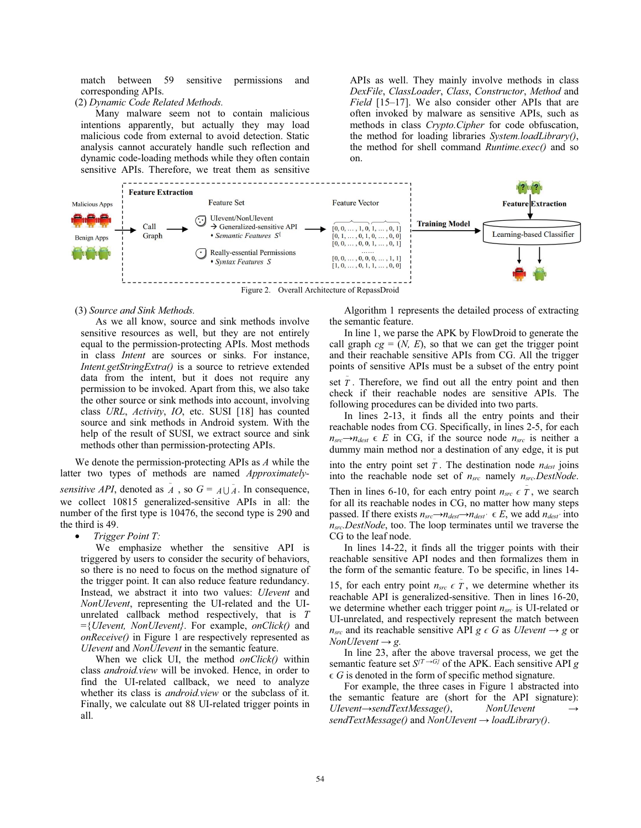match between 59 sensitive permissions and corresponding APIs.

(2) *Dynamic Code Related Methods.*

Many malware seem not to contain malicious intentions apparently, but actually they may load malicious code from external to avoid detection. Static analysis cannot accurately handle such reflection and dynamic code-loading methods while they often contain sensitive APIs. Therefore, we treat them as sensitive

APIs as well. They mainly involve methods in class *DexFile*, *ClassLoader*, *Class*, *Constructor*, *Method* and *Field* [15–17]. We also consider other APIs that are often invoked by malware as sensitive APIs, such as methods in class *Crypto.Cipher* for code obfuscation, the method for loading libraries *System.loadLibrary()*, the method for shell command *Runtime.exec()* and so on.



## (3) *Source and Sink Methods.*

As we all know, source and sink methods involve sensitive resources as well, but they are not entirely equal to the permission-protecting APIs. Most methods in class *Intent* are sources or sinks. For instance, *Intent.getStringExtra()* is a source to retrieve extended data from the intent, but it does not require any permission to be invoked. Apart from this, we also take the other source or sink methods into account, involving class *URL*, *Activity*, *IO*, etc. SUSI [18] has counted source and sink methods in Android system. With the help of the result of SUSI, we extract source and sink methods other than permission-protecting APIs.

We denote the permission-protecting APIs as *A* while the latter two types of methods are named *Approximatelysensitive API*, denoted as  $\tilde{A}$ , so  $G = A \cup \tilde{A}$ . In consequence, we collect 10815 generalized-sensitive APIs in all: the number of the first type is 10476, the second type is 290 and the third is 49.

• *Trigger Point T:* 

We emphasize whether the sensitive API is triggered by users to consider the security of behaviors, so there is no need to focus on the method signature of the trigger point. It can also reduce feature redundancy. Instead, we abstract it into two values: *UIevent* and *NonUIevent*, representing the UI-related and the UIunrelated callback method respectively, that is *T*  ={*UIevent, NonUIevent}*. For example, *onClick()* and *onReceive()* in Figure 1 are respectively represented as *UIevent* and *NonUIevent* in the semantic feature.

When we click UI, the method *onClick()* within class *android.view* will be invoked. Hence, in order to find the UI-related callback, we need to analyze whether its class is *android.view* or the subclass of it. Finally, we calculate out 88 UI-related trigger points in all.

Algorithm 1 represents the detailed process of extracting the semantic feature.

In line 1, we parse the APK by FlowDroid to generate the call graph  $cg = (N, E)$ , so that we can get the trigger point and their reachable sensitive APIs from CG. All the trigger points of sensitive APIs must be a subset of the entry point

set  $\tilde{T}$ . Therefore, we find out all the entry point and then check if their reachable nodes are sensitive APIs. The following procedures can be divided into two parts.

In lines 2-13, it finds all the entry points and their reachable nodes from CG. Specifically, in lines 2-5, for each  $n_{src} \rightarrow n_{dest} \in E$  in CG, if the source node  $n_{src}$  is neither a dummy main method nor a destination of any edge, it is put into the entry point set  $\tilde{T}$ . The destination node  $n_{dest}$  joins into the reachable node set of *nsrc* namely *nsrc.DestNode*. Then in lines 6-10, for each entry point  $n_{src} \in \tilde{T}$ , we search for all its reachable nodes in CG, no matter how many steps passed. If there exists  $n_{src} \rightarrow n_{dest} \rightarrow n_{dest'} \in E$ , we add  $n_{dest'}$  into *nsrc.DestNode*, too. The loop terminates until we traverse the CG to the leaf node.

In lines 14-22, it finds all the trigger points with their reachable sensitive API nodes and then formalizes them in the form of the semantic feature. To be specific, in lines 14- 15, for each entry point  $n_{src} \in \tilde{T}$ , we determine whether its reachable API is generalized-sensitive. Then in lines 16-20, we determine whether each trigger point *nsrc* is UI-related or UI-unrelated, and respectively represent the match between *n<sub>src</sub>* and its reachable sensitive API  $g \in G$  as *UIevent*  $\rightarrow g$  or *NonUIevent - g.*

In line 23, after the above traversal process, we get the semantic feature set  $S^{T \to G}$  of the APK. Each sensitive API *g*  $\epsilon$  *G* is denoted in the form of specific method signature.

For example, the three cases in Figure 1 abstracted into the semantic feature are (short for the API signature): *UIevent-sendTextMessage()*, *NonUIevent sendTextMessage()* and *NonUIevent - loadLibrary()*.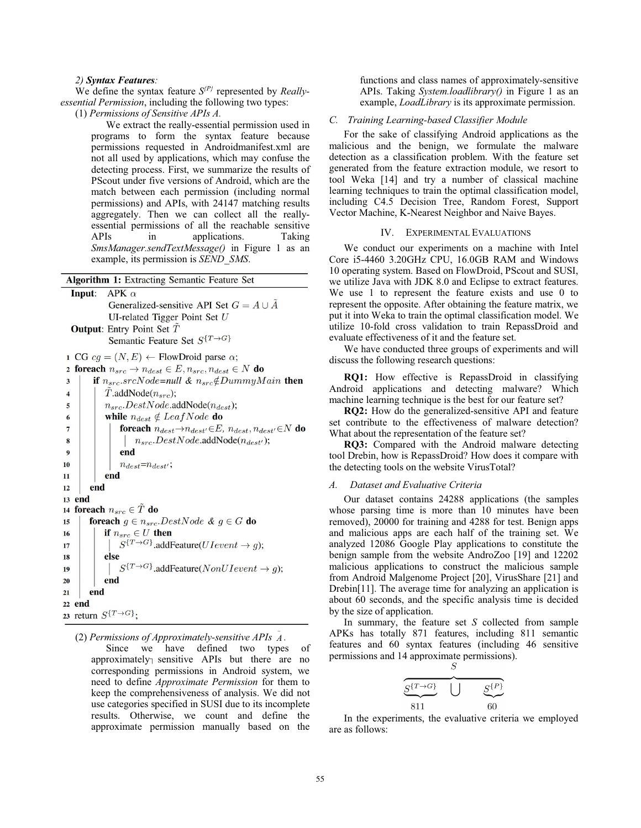## *2) Syntax Features:*

We define the syntax feature *S{P}* represented by *Reallyessential Permission*, including the following two types:

(1) *Permissions of Sensitive APIs A.*

We extract the really-essential permission used in programs to form the syntax feature because permissions requested in Androidmanifest.xml are not all used by applications, which may confuse the detecting process. First, we summarize the results of PScout under five versions of Android, which are the match between each permission (including normal permissions) and APIs, with 24147 matching results aggregately. Then we can collect all the reallyessential permissions of all the reachable sensitive APIs in applications. Taking *SmsManager.sendTextMessage()* in Figure 1 as an example, its permission is *SEND\_SMS*.

| <b>Algorithm 1:</b> Extracting Semantic Feature Set                                                   |
|-------------------------------------------------------------------------------------------------------|
| APK $\alpha$<br>Input:                                                                                |
| Generalized-sensitive API Set $G = A \cup \tilde{A}$                                                  |
| UI-related Tigger Point Set $U$                                                                       |
|                                                                                                       |
| <b>Output:</b> Entry Point Set T                                                                      |
| Semantic Feature Set $S^{T\rightarrow G}$                                                             |
| 1 CG $cg = (N, E) \leftarrow$ FlowDroid parse $\alpha$ ;                                              |
| foreach $n_{src} \rightarrow n_{dest} \in E, n_{src}, n_{dest} \in N$ do<br>$\overline{\mathbf{c}}$   |
| if $n_{src}.srcNode=null \& n_{src} \notin DummyMain$ then<br>3                                       |
| $T$ .addNode $(n_{src})$ ;<br>$\overline{\mathbf{4}}$                                                 |
| $n_{src}$ . Dest Node. add Node $(n_{dest})$ ;<br>5                                                   |
| while $n_{dest} \notin LeafNode$ do<br>6                                                              |
| <b>foreach</b> $n_{dest} \rightarrow n_{dest'} \in E$ , $n_{dest}$ , $n_{dest'} \in N$ <b>do</b><br>7 |
| $n_{src}$ . Dest Node. add Node $(n_{dest})$ ;<br>8                                                   |
| end<br>9                                                                                              |
| $n_{dest} = n_{dest'}$ ;<br>10                                                                        |
| end<br>11                                                                                             |
| end<br>12                                                                                             |
| 13 end                                                                                                |
| 14 foreach $n_{src} \in \tilde{T}$ do                                                                 |
| <b>foreach</b> $g \in n_{src}$ . DestNode & $g \in G$ <b>do</b><br>15                                 |
| if $n_{src} \in U$ then<br>16                                                                         |
| $S^{\{T\rightarrow G\}}$ .addFeature( <i>U</i> I event $\rightarrow g$ );<br>17                       |
| else<br>18                                                                                            |
| $S^{T\rightarrow G}$ .addFeature( <i>NonUIevent</i> $\rightarrow$ <i>g</i> );<br>19                   |
| end<br>20                                                                                             |
| end<br>21                                                                                             |
| 22 end                                                                                                |
| 23 return $S^{T\rightarrow G}$ :                                                                      |

(2) *Permissions of Approximately-sensitive APIs*  $\tilde{A}$ .

Since we have defined two types of approximately sensitive APIs but there are no corresponding permissions in Android system, we need to define *Approximate Permission* for them to keep the comprehensiveness of analysis. We did not use categories specified in SUSI due to its incomplete results. Otherwise, we count and define the approximate permission manually based on the functions and class names of approximately-sensitive APIs. Taking *System.loadlibrary()* in Figure 1 as an example, *LoadLibrary* is its approximate permission.

## *C. Training Learning-based Classifier Module*

For the sake of classifying Android applications as the malicious and the benign, we formulate the malware detection as a classification problem. With the feature set generated from the feature extraction module, we resort to tool Weka [14] and try a number of classical machine learning techniques to train the optimal classification model, including C4.5 Decision Tree, Random Forest, Support Vector Machine, K-Nearest Neighbor and Naive Bayes.

## IV. EXPERIMENTAL EVALUATIONS

We conduct our experiments on a machine with Intel Core i5-4460 3.20GHz CPU, 16.0GB RAM and Windows 10 operating system. Based on FlowDroid, PScout and SUSI, we utilize Java with JDK 8.0 and Eclipse to extract features. We use 1 to represent the feature exists and use 0 to represent the opposite. After obtaining the feature matrix, we put it into Weka to train the optimal classification model. We utilize 10-fold cross validation to train RepassDroid and evaluate effectiveness of it and the feature set.

We have conducted three groups of experiments and will discuss the following research questions:

**RQ1:** How effective is RepassDroid in classifying Android applications and detecting malware? Which machine learning technique is the best for our feature set?

**RQ2:** How do the generalized-sensitive API and feature set contribute to the effectiveness of malware detection? What about the representation of the feature set?

**RQ3:** Compared with the Android malware detecting tool Drebin, how is RepassDroid? How does it compare with the detecting tools on the website VirusTotal?

#### *A. Dataset and Evaluative Criteria*

Our dataset contains 24288 applications (the samples whose parsing time is more than 10 minutes have been removed), 20000 for training and 4288 for test. Benign apps and malicious apps are each half of the training set. We analyzed 12086 Google Play applications to constitute the benign sample from the website AndroZoo [19] and 12202 malicious applications to construct the malicious sample from Android Malgenome Project [20], VirusShare [21] and Drebin[11]. The average time for analyzing an application is about 60 seconds, and the specific analysis time is decided by the size of application.

In summary, the feature set *S* collected from sample APKs has totally 871 features, including 811 semantic features and 60 syntax features (including 46 sensitive permissions and 14 approximate permissions).

| $S^{T\rightarrow G}$ | $\varsigma$ {P} |
|----------------------|-----------------|
| 811                  | 60              |

In the experiments, the evaluative criteria we employed are as follows: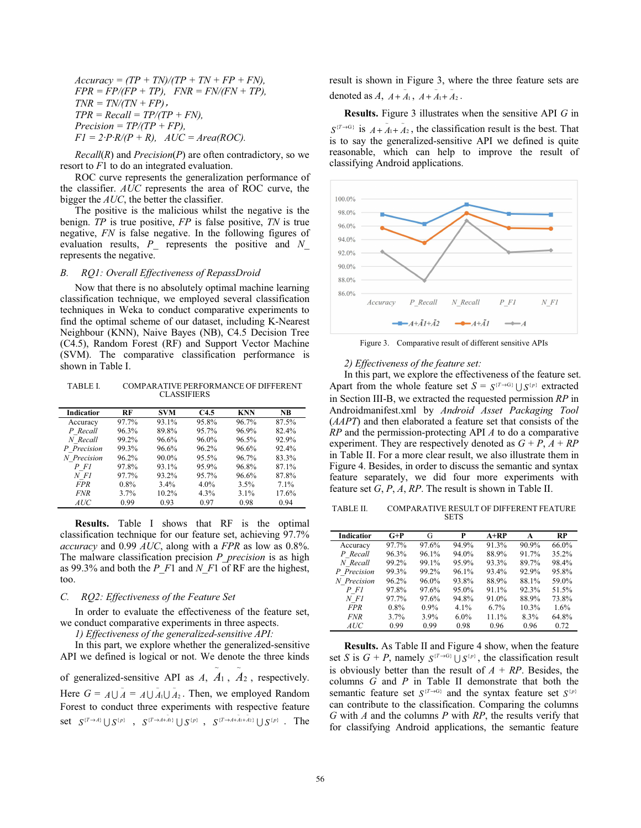$Accuracy = (TP + TN)/(TP + TN + FP + FN)$ ,  $FPR = FP/ (FP + TP)$ ,  $FNR = FN / (FN + TP)$ ,  $TNR = TN/(TN + FP)$ ,  $TPR = Recall = TP/(TP + FN)$ ,  $Precision = TP/(TP + FP)$ ,  $F1 = 2 \cdot P \cdot R / (P + R)$ ,  $AUC = Area (ROC)$ .

*Recall*(*R*) and *Precision*(*P*) are often contradictory, so we resort to *F*1 to do an integrated evaluation.

ROC curve represents the generalization performance of the classifier. *AUC* represents the area of ROC curve, the bigger the *AUC*, the better the classifier.

The positive is the malicious whilst the negative is the benign. *TP* is true positive, *FP* is false positive, *TN* is true negative, *FN* is false negative. In the following figures of evaluation results, *P\_* represents the positive and *N\_*  represents the negative.

#### *B. RQ1: Overall Effectiveness of RepassDroid*

Now that there is no absolutely optimal machine learning classification technique, we employed several classification techniques in Weka to conduct comparative experiments to find the optimal scheme of our dataset, including K-Nearest Neighbour (KNN), Naive Bayes (NB), C4.5 Decision Tree (C4.5), Random Forest (RF) and Support Vector Machine (SVM). The comparative classification performance is shown in Table I.

TABLE I. COMPARATIVE PERFORMANCE OF DIFFERENT CLASSIFIERS

| Indicatior  | RF      | <b>SVM</b> | C <sub>4.5</sub> | <b>KNN</b> | NB.   |
|-------------|---------|------------|------------------|------------|-------|
| Accuracy    | 97.7%   | 93.1%      | 95.8%            | 96.7%      | 87.5% |
| P Recall    | 96.3%   | 89.8%      | 95.7%            | 96.9%      | 82.4% |
| N Recall    | 99.2%   | 96.6%      | 96.0%            | 96.5%      | 92.9% |
| P Precision | 99.3%   | 96.6%      | 96.2%            | 96.6%      | 92.4% |
| N Precision | 96.2%   | 90.0%      | 95.5%            | 96.7%      | 83.3% |
| $P$ Fl      | 97.8%   | 93.1%      | 95.9%            | 96.8%      | 87.1% |
| N F1        | 97.7%   | 93.2%      | 95.7%            | 96.6%      | 87.8% |
| <b>FPR</b>  | $0.8\%$ | 3.4%       | $4.0\%$          | 3.5%       | 7.1%  |
| <b>FNR</b>  | 3.7%    | 10.2%      | $4.3\%$          | 3.1%       | 17.6% |
| AUC         | 0.99    | 0.93       | 0.97             | 0.98       | 0.94  |

**Results.** Table I shows that RF is the optimal classification technique for our feature set, achieving 97.7% *accuracy* and 0.99 *AUC*, along with a *FPR* as low as 0.8%. The malware classification precision *P\_precision* is as high as 99.3% and both the *P\_F*1 and *N\_F*1 of RF are the highest, too.

## *C. RQ2: Effectiveness of the Feature Set*

In order to evaluate the effectiveness of the feature set, we conduct comparative experiments in three aspects.

*1) Effectiveness of the generalized-sensitive API:*

In this part, we explore whether the generalized-sensitive API we defined is logical or not. We denote the three kinds of generalized-sensitive API as  $A$ ,  $A_1$ ,  $A_2$ , respectively. ~ ~ Here  $G = A \cup \tilde{A} = A \cup \tilde{A}_1 \cup \tilde{A}_2$ 1  $A \cup \tilde{A}_1 \cup \tilde{A}_2$ . Then, we employed Random Forest to conduct three experiments with respective feature  $\text{set} \quad S^{\{T \rightarrow A\}} \cup S^{\{p\}} \quad , \quad S^{\{T \rightarrow A + \bar{A}_1\}} \cup S^{\{p\}} \quad , \quad S^{\{T \rightarrow A + \bar{A}_1 + \bar{A}_2\}} \cup S^{\{p\}} \quad . \quad \text{The}$  result is shown in Figure 3, where the three feature sets are denoted as  $A$ ,  $A + \tilde{A}_1$ ,  $A + \tilde{A}_1 + \tilde{A}_2$ 1  $A + \tilde{A}_1 + \tilde{A}_2$ .

**Results.** Figure 3 illustrates when the sensitive API *G* in  $S^{(T\rightarrow G)}$  is  $A + \tilde{A}_1 + \tilde{A}_2$ 1  $A + \tilde{A}_1 + \tilde{A}_2$ , the classification result is the best. That is to say the generalized-sensitive API we defined is quite reasonable, which can help to improve the result of classifying Android applications.



Figure 3. Comparative result of different sensitive APIs

#### *2) Effectiveness of the feature set:*

In this part, we explore the effectiveness of the feature set. Apart from the whole feature set  $S = S^{T \to G} \cup S^{p}$  extracted in Section III-B, we extracted the requested permission *RP* in Androidmanifest.xml by *Android Asset Packaging Tool*  (*AAPT*) and then elaborated a feature set that consists of the *RP* and the permission-protecting API *A* to do a comparative experiment. They are respectively denoted as  $G + P$ ,  $A + RP$ in Table II. For a more clear result, we also illustrate them in Figure 4. Besides, in order to discuss the semantic and syntax feature separately, we did four more experiments with feature set *G*, *P*, *A*, *RP*. The result is shown in Table II.

TABLE II. COMPARATIVE RESULT OF DIFFERENT FEATURE SETS

| Indicatior  | $G+P$   | G       | P       | $A+RP$ | A     | RP    |
|-------------|---------|---------|---------|--------|-------|-------|
| Accuracy    | 97.7%   | 97.6%   | 94.9%   | 91.3%  | 90.9% | 66.0% |
| P Recall    | 96.3%   | 96.1%   | 94.0%   | 88.9%  | 91.7% | 35.2% |
| N Recall    | 99.2%   | 99.1%   | 95.9%   | 93.3%  | 89.7% | 98.4% |
| P Precision | 99.3%   | 99.2%   | 96.1%   | 93.4%  | 92.9% | 95.8% |
| N Precision | 96.2%   | 96.0%   | 93.8%   | 88.9%  | 88.1% | 59.0% |
| $P$ Fl      | 97.8%   | 97.6%   | 95.0%   | 91.1%  | 92.3% | 51.5% |
| N F1        | 97.7%   | 97.6%   | 94.8%   | 91.0%  | 88.9% | 73.8% |
| <b>FPR</b>  | $0.8\%$ | $0.9\%$ | 4.1%    | 6.7%   | 10.3% | 1.6%  |
| <b>FNR</b>  | 3.7%    | 3.9%    | $6.0\%$ | 11.1%  | 8.3%  | 64.8% |
| AUC         | 0.99    | 0.99    | 0.98    | 0.96   | 0.96  | 0.72  |

**Results.** As Table II and Figure 4 show, when the feature set *S* is  $G + P$ , namely  $S^{T \to G} \cup S^{p}$ , the classification result is obviously better than the result of  $A + RP$ . Besides, the columns *G* and *P* in Table II demonstrate that both the semantic feature set  $S^{(T\rightarrow G)}$  and the syntax feature set  $S^{(p)}$ can contribute to the classification. Comparing the columns *G* with *A* and the columns *P* with *RP*, the results verify that for classifying Android applications, the semantic feature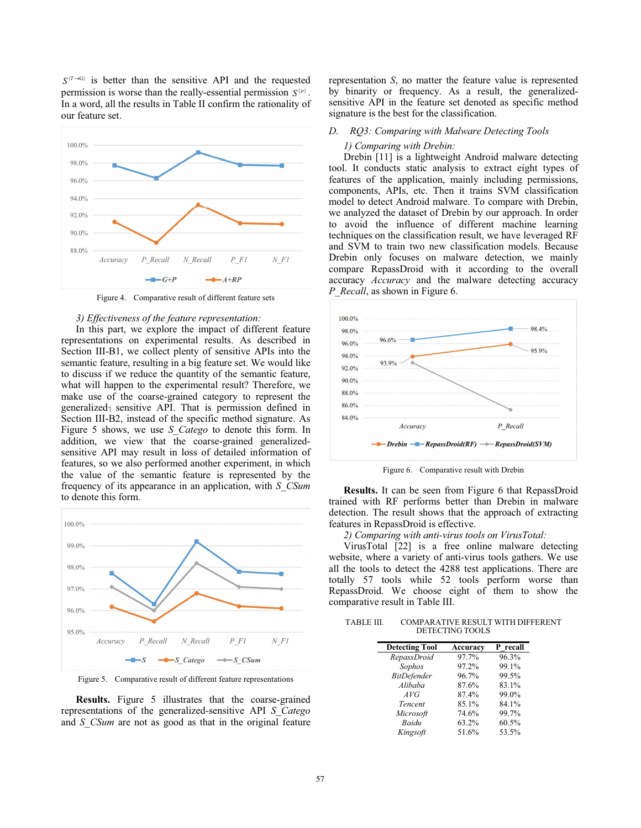$S^{(T\rightarrow G)}$  is better than the sensitive API and the requested permission is worse than the really-essential permission  $S^{p}$ . In a word, all the results in Table II confirm the rationality of our feature set.



Figure 4. Comparative result of different feature sets

## *3) Effectiveness of the feature representation:*

In this part, we explore the impact of different feature representations on experimental results. As described in Section III-B1, we collect plenty of sensitive APIs into the semantic feature, resulting in a big feature set. We would like to discuss if we reduce the quantity of the semantic feature, what will happen to the experimental result? Therefore, we make use of the coarse-grained category to represent the generalized $<sub>1</sub>$  sensitive API. That is permission defined in</sub> Section III-B2, instead of the specific method signature. As Figure 5 shows, we use *S\_Catego* to denote this form. In addition, we view that the coarse-grained generalizedsensitive API may result in loss of detailed information of features, so we also performed another experiment, in which the value of the semantic feature is represented by the frequency of its appearance in an application, with *S\_CSum*  to denote this form.



Figure 5. Comparative result of different feature representations

**Results.** Figure 5 illustrates that the coarse-grained representations of the generalized-sensitive API *S\_Catego*  and *S* CSum are not as good as that in the original feature representation *S*, no matter the feature value is represented by binarity or frequency. As a result, the generalizedsensitive API in the feature set denoted as specific method signature is the best for the classification.

## *D. RQ3: Comparing with Malware Detecting Tools*

## *1) Comparing with Drebin:*

Drebin [11] is a lightweight Android malware detecting tool. It conducts static analysis to extract eight types of features of the application, mainly including permissions, components, APIs, etc. Then it trains SVM classification model to detect Android malware. To compare with Drebin, we analyzed the dataset of Drebin by our approach. In order to avoid the influence of different machine learning techniques on the classification result, we have leveraged RF and SVM to train two new classification models. Because Drebin only focuses on malware detection, we mainly compare RepassDroid with it according to the overall accuracy *Accuracy* and the malware detecting accuracy *P\_Recall*, as shown in Figure 6.



Figure 6. Comparative result with Drebin

**Results.** It can be seen from Figure 6 that RepassDroid trained with RF performs better than Drebin in malware detection. The result shows that the approach of extracting features in RepassDroid is effective.

*2) Comparing with anti-virus tools on VirusTotal:* 

VirusTotal [22] is a free online malware detecting website, where a variety of anti-virus tools gathers. We use all the tools to detect the 4288 test applications. There are totally 57 tools while 52 tools perform worse than RepassDroid. We choose eight of them to show the comparative result in Table III.

| TABLE III. | <b>COMPARATIVE RESULT WITH DIFFERENT</b> |
|------------|------------------------------------------|
|            | DETECTING TOOLS                          |

| <b>Detecting Tool</b> | Accuracy | P recall |
|-----------------------|----------|----------|
| RepassDroid           | 97.7%    | 96.3%    |
| Sophos                | 97.2%    | 99.1%    |
| <b>BitDefender</b>    | 96.7%    | 99.5%    |
| Alibaba               | 87.6%    | 83.1%    |
| AVG                   | 87.4%    | 99.0%    |
| Tencent               | 85.1%    | 84.1%    |
| Microsoft             | 74.6%    | 99.7%    |
| Baidu                 | 63.2%    | 60.5%    |
| Kingsoft              | 51.6%    | 53.5%    |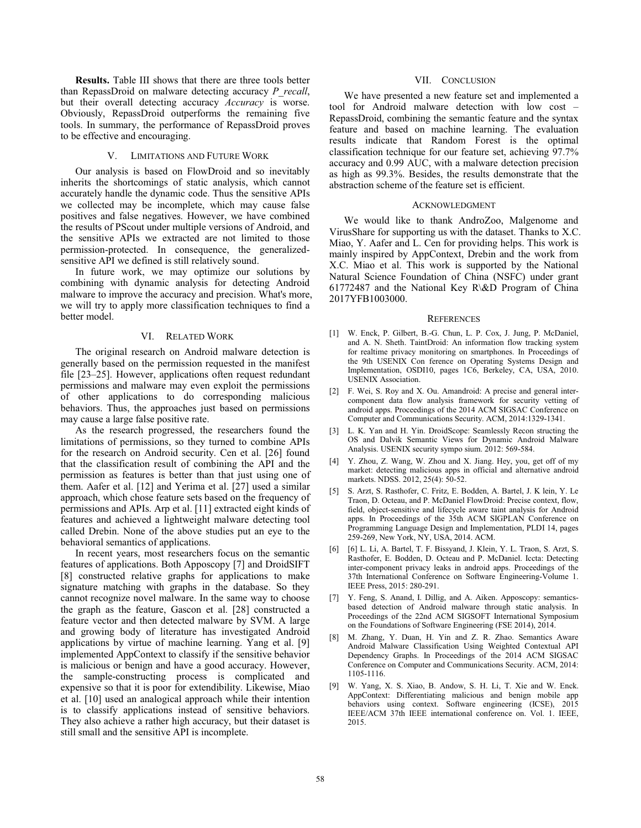**Results.** Table III shows that there are three tools better than RepassDroid on malware detecting accuracy *P\_recall*, but their overall detecting accuracy *Accuracy* is worse. Obviously, RepassDroid outperforms the remaining five tools. In summary, the performance of RepassDroid proves to be effective and encouraging.

## V. LIMITATIONS AND FUTURE WORK

Our analysis is based on FlowDroid and so inevitably inherits the shortcomings of static analysis, which cannot accurately handle the dynamic code. Thus the sensitive APIs we collected may be incomplete, which may cause false positives and false negatives. However, we have combined the results of PScout under multiple versions of Android, and the sensitive APIs we extracted are not limited to those permission-protected. In consequence, the generalizedsensitive API we defined is still relatively sound.

In future work, we may optimize our solutions by combining with dynamic analysis for detecting Android malware to improve the accuracy and precision. What's more, we will try to apply more classification techniques to find a better model.

## VI. RELATED WORK

The original research on Android malware detection is generally based on the permission requested in the manifest file [23–25]. However, applications often request redundant permissions and malware may even exploit the permissions of other applications to do corresponding malicious behaviors. Thus, the approaches just based on permissions may cause a large false positive rate.

As the research progressed, the researchers found the limitations of permissions, so they turned to combine APIs for the research on Android security. Cen et al. [26] found that the classification result of combining the API and the permission as features is better than that just using one of them. Aafer et al. [12] and Yerima et al. [27] used a similar approach, which chose feature sets based on the frequency of permissions and APIs. Arp et al. [11] extracted eight kinds of features and achieved a lightweight malware detecting tool called Drebin. None of the above studies put an eye to the behavioral semantics of applications.

In recent years, most researchers focus on the semantic features of applications. Both Apposcopy [7] and DroidSIFT [8] constructed relative graphs for applications to make signature matching with graphs in the database. So they cannot recognize novel malware. In the same way to choose the graph as the feature, Gascon et al. [28] constructed a feature vector and then detected malware by SVM. A large and growing body of literature has investigated Android applications by virtue of machine learning. Yang et al. [9] implemented AppContext to classify if the sensitive behavior is malicious or benign and have a good accuracy. However, the sample-constructing process is complicated and expensive so that it is poor for extendibility. Likewise, Miao et al. [10] used an analogical approach while their intention is to classify applications instead of sensitive behaviors. They also achieve a rather high accuracy, but their dataset is still small and the sensitive API is incomplete.

## VII. CONCLUSION

We have presented a new feature set and implemented a tool for Android malware detection with low cost – RepassDroid, combining the semantic feature and the syntax feature and based on machine learning. The evaluation results indicate that Random Forest is the optimal classification technique for our feature set, achieving 97.7% accuracy and 0.99 AUC, with a malware detection precision as high as 99.3%. Besides, the results demonstrate that the abstraction scheme of the feature set is efficient.

## ACKNOWLEDGMENT

We would like to thank AndroZoo, Malgenome and VirusShare for supporting us with the dataset. Thanks to X.C. Miao, Y. Aafer and L. Cen for providing helps. This work is mainly inspired by AppContext, Drebin and the work from X.C. Miao et al. This work is supported by the National Natural Science Foundation of China (NSFC) under grant 61772487 and the National Key R\&D Program of China 2017YFB1003000.

#### **REFERENCES**

- [1] W. Enck, P. Gilbert, B.-G. Chun, L. P. Cox, J. Jung, P. McDaniel, and A. N. Sheth. TaintDroid: An information flow tracking system for realtime privacy monitoring on smartphones. In Proceedings of the 9th USENIX Con ference on Operating Systems Design and Implementation, OSDI10, pages 1C6, Berkeley, CA, USA, 2010. USENIX Association.
- [2] F. Wei, S. Roy and X. Ou. Amandroid: A precise and general intercomponent data flow analysis framework for security vetting of android apps. Proceedings of the 2014 ACM SIGSAC Conference on Computer and Communications Security. ACM, 2014:1329-1341.
- [3] L. K. Yan and H. Yin. DroidScope: Seamlessly Recon structing the OS and Dalvik Semantic Views for Dynamic Android Malware Analysis. USENIX security sympo sium. 2012: 569-584.
- [4] Y. Zhou, Z. Wang, W. Zhou and X. Jiang. Hey, you, get off of my market: detecting malicious apps in official and alternative android markets. NDSS. 2012, 25(4): 50-52.
- [5] S. Arzt, S. Rasthofer, C. Fritz, E. Bodden, A. Bartel, J. K lein, Y. Le Traon, D. Octeau, and P. McDaniel FlowDroid: Precise context, flow, field, object-sensitive and lifecycle aware taint analysis for Android apps. In Proceedings of the 35th ACM SIGPLAN Conference on Programming Language Design and Implementation, PLDI 14, pages 259-269, New York, NY, USA, 2014. ACM.
- [6] [6] L. Li, A. Bartel, T. F. Bissyand, J. Klein, Y. L. Traon, S. Arzt, S. Rasthofer, E. Bodden, D. Octeau and P. McDaniel. Iccta: Detecting inter-component privacy leaks in android apps. Proceedings of the 37th International Conference on Software Engineering-Volume 1. IEEE Press, 2015: 280-291.
- [7] Y. Feng, S. Anand, I. Dillig, and A. Aiken. Apposcopy: semanticsbased detection of Android malware through static analysis. In Proceedings of the 22nd ACM SIGSOFT International Symposium on the Foundations of Software Engineering (FSE 2014), 2014.
- M. Zhang, Y. Duan, H. Yin and Z. R. Zhao. Semantics Aware Android Malware Classification Using Weighted Contextual API Dependency Graphs. In Proceedings of the 2014 ACM SIGSAC Conference on Computer and Communications Security. ACM, 2014: 1105-1116.
- [9] W. Yang, X. S. Xiao, B. Andow, S. H. Li, T. Xie and W. Enck. AppContext: Differentiating malicious and benign mobile app behaviors using context. Software engineering (ICSE), 2015 IEEE/ACM 37th IEEE international conference on. Vol. 1. IEEE, 2015.